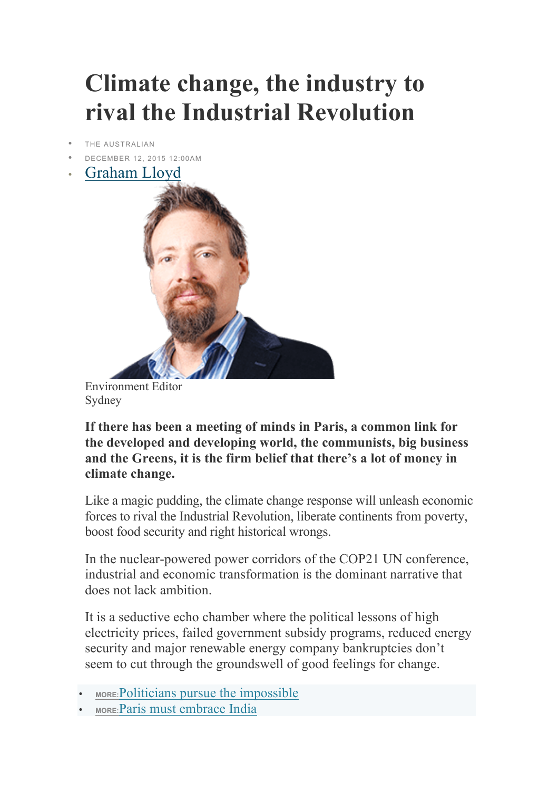## **Climate change, the industry to rival the Industrial Revolution**

- THE AUSTRALIAN
- DECEMBER 12, 2015 12:00AM
- Graham Lloyd



Environment Editor Sydney

**If there has been a meeting of minds in Paris, a common link for the developed and developing world, the communists, big business and the Greens, it is the firm belief that there's a lot of money in climate change.**

Like a magic pudding, the climate change response will unleash economic forces to rival the Industrial Revolution, liberate continents from poverty, boost food security and right historical wrongs.

In the nuclear-powered power corridors of the COP21 UN conference, industrial and economic transformation is the dominant narrative that does not lack ambition.

It is a seductive echo chamber where the political lessons of high electricity prices, failed government subsidy programs, reduced energy security and major renewable energy company bankruptcies don't seem to cut through the groundswell of good feelings for change.

- **MORE:**Politicians pursue the impossible
- **MORE:**Paris must embrace India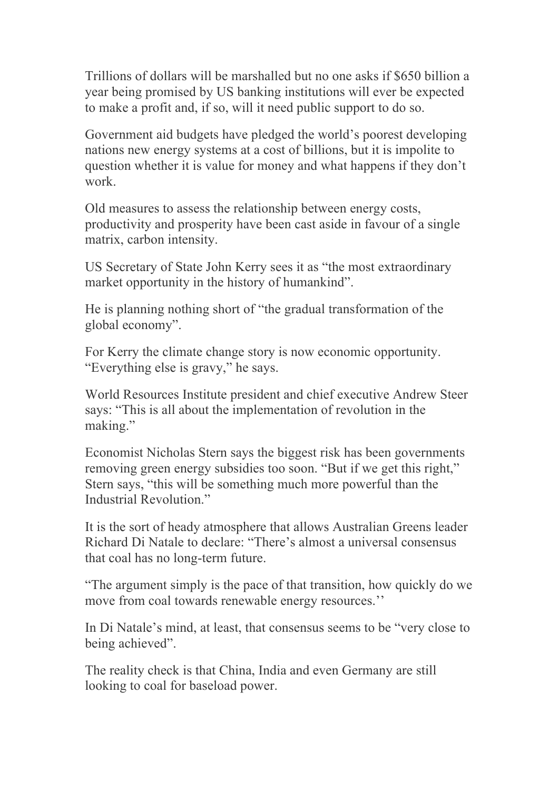Trillions of dollars will be marshalled but no one asks if \$650 billion a year being promised by US banking institutions will ever be expected to make a profit and, if so, will it need public support to do so.

Government aid budgets have pledged the world's poorest developing nations new energy systems at a cost of billions, but it is impolite to question whether it is value for money and what happens if they don't work.

Old measures to assess the relationship between energy costs, productivity and prosperity have been cast aside in favour of a single matrix, carbon intensity.

US Secretary of State John Kerry sees it as "the most extraordinary market opportunity in the history of humankind".

He is planning nothing short of "the gradual transformation of the global economy".

For Kerry the climate change story is now economic opportunity. "Everything else is gravy," he says.

World Resources Institute president and chief executive Andrew Steer says: "This is all about the implementation of revolution in the making."

Economist Nicholas Stern says the biggest risk has been governments removing green energy subsidies too soon. "But if we get this right," Stern says, "this will be something much more powerful than the Industrial Revolution."

It is the sort of heady atmosphere that allows Australian Greens leader Richard Di Natale to declare: "There's almost a universal consensus that coal has no long-term future.

"The argument simply is the pace of that transition, how quickly do we move from coal towards renewable energy resources.''

In Di Natale's mind, at least, that consensus seems to be "very close to being achieved".

The reality check is that China, India and even Germany are still looking to coal for baseload power.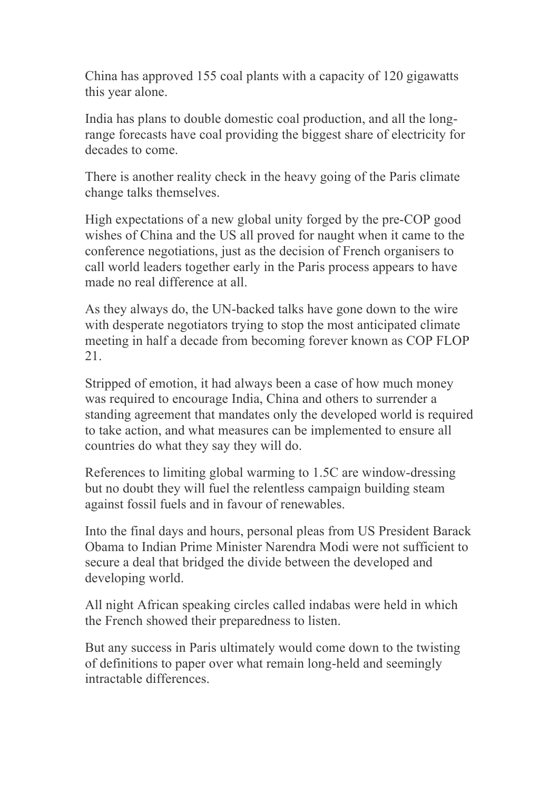China has approved 155 coal plants with a capacity of 120 gigawatts this year alone.

India has plans to double domestic coal production, and all the longrange forecasts have coal providing the biggest share of electricity for decades to come.

There is another reality check in the heavy going of the Paris climate change talks themselves.

High expectations of a new global unity forged by the pre-COP good wishes of China and the US all proved for naught when it came to the conference negotiations, just as the decision of French organisers to call world leaders together early in the Paris process appears to have made no real difference at all.

As they always do, the UN-backed talks have gone down to the wire with desperate negotiators trying to stop the most anticipated climate meeting in half a decade from becoming forever known as COP FLOP 21.

Stripped of emotion, it had always been a case of how much money was required to encourage India, China and others to surrender a standing agreement that mandates only the developed world is required to take action, and what measures can be implemented to ensure all countries do what they say they will do.

References to limiting global warming to 1.5C are window-dressing but no doubt they will fuel the relentless campaign building steam against fossil fuels and in favour of renewables.

Into the final days and hours, personal pleas from US President Barack Obama to Indian Prime Minister Narendra Modi were not sufficient to secure a deal that bridged the divide between the developed and developing world.

All night African speaking circles called indabas were held in which the French showed their preparedness to listen.

But any success in Paris ultimately would come down to the twisting of definitions to paper over what remain long-held and seemingly intractable differences.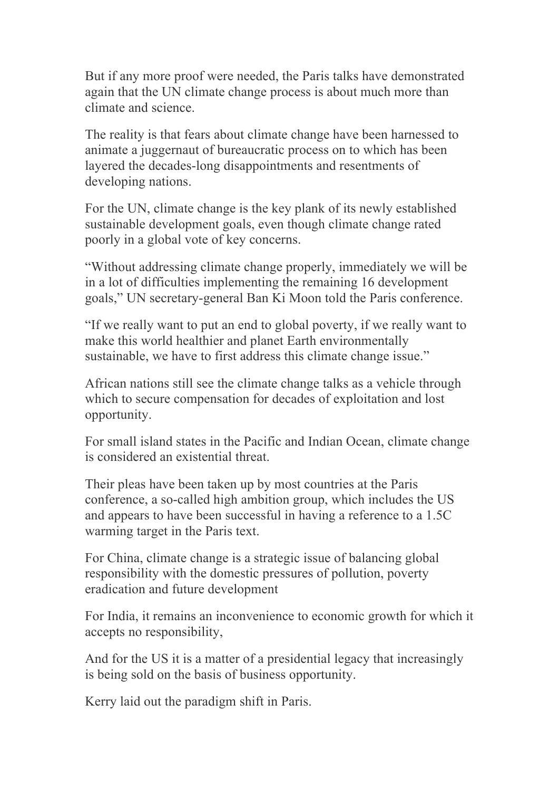But if any more proof were needed, the Paris talks have demonstrated again that the UN climate change process is about much more than climate and science.

The reality is that fears about climate change have been harnessed to animate a juggernaut of bureaucratic process on to which has been layered the decades-long disappointments and resentments of developing nations.

For the UN, climate change is the key plank of its newly established sustainable development goals, even though climate change rated poorly in a global vote of key concerns.

"Without addressing climate change properly, immediately we will be in a lot of difficulties implementing the remaining 16 development goals," UN secretary-general Ban Ki Moon told the Paris conference.

"If we really want to put an end to global poverty, if we really want to make this world healthier and planet Earth environmentally sustainable, we have to first address this climate change issue."

African nations still see the climate change talks as a vehicle through which to secure compensation for decades of exploitation and lost opportunity.

For small island states in the Pacific and Indian Ocean, climate change is considered an existential threat.

Their pleas have been taken up by most countries at the Paris conference, a so-called high ambition group, which includes the US and appears to have been successful in having a reference to a 1.5C warming target in the Paris text.

For China, climate change is a strategic issue of balancing global responsibility with the domestic pressures of pollution, poverty eradication and future development

For India, it remains an inconvenience to economic growth for which it accepts no responsibility,

And for the US it is a matter of a presidential legacy that increasingly is being sold on the basis of business opportunity.

Kerry laid out the paradigm shift in Paris.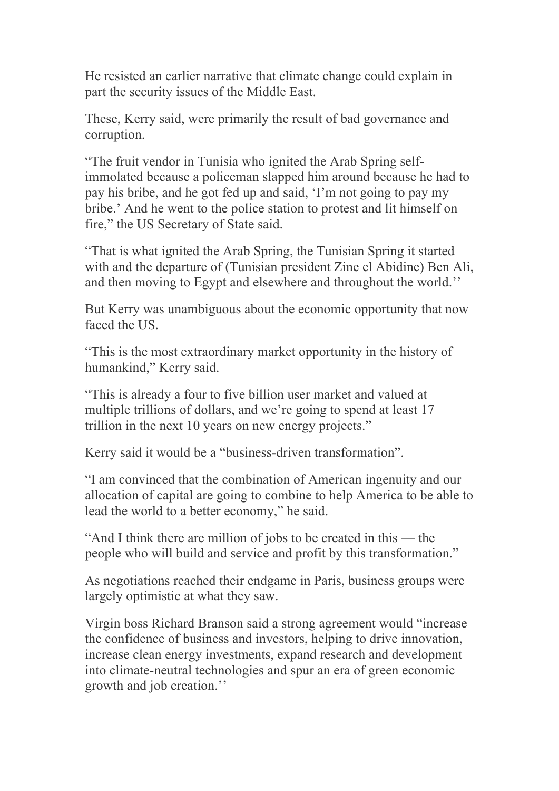He resisted an earlier narrative that climate change could explain in part the security issues of the Middle East.

These, Kerry said, were primarily the result of bad governance and corruption.

"The fruit vendor in Tunisia who ignited the Arab Spring selfimmolated because a policeman slapped him around because he had to pay his bribe, and he got fed up and said, 'I'm not going to pay my bribe.' And he went to the police station to protest and lit himself on fire," the US Secretary of State said.

"That is what ignited the Arab Spring, the Tunisian Spring it started with and the departure of (Tunisian president Zine el Abidine) Ben Ali, and then moving to Egypt and elsewhere and throughout the world.''

But Kerry was unambiguous about the economic opportunity that now faced the US.

"This is the most extraordinary market opportunity in the history of humankind," Kerry said.

"This is already a four to five billion user market and valued at multiple trillions of dollars, and we're going to spend at least 17 trillion in the next 10 years on new energy projects."

Kerry said it would be a "business-driven transformation".

"I am convinced that the combination of American ingenuity and our allocation of capital are going to combine to help America to be able to lead the world to a better economy," he said.

"And I think there are million of jobs to be created in this — the people who will build and service and profit by this transformation."

As negotiations reached their endgame in Paris, business groups were largely optimistic at what they saw.

Virgin boss Richard Branson said a strong agreement would "increase the confidence of business and investors, helping to drive innovation, increase clean energy investments, expand research and development into climate-neutral technologies and spur an era of green economic growth and job creation.''